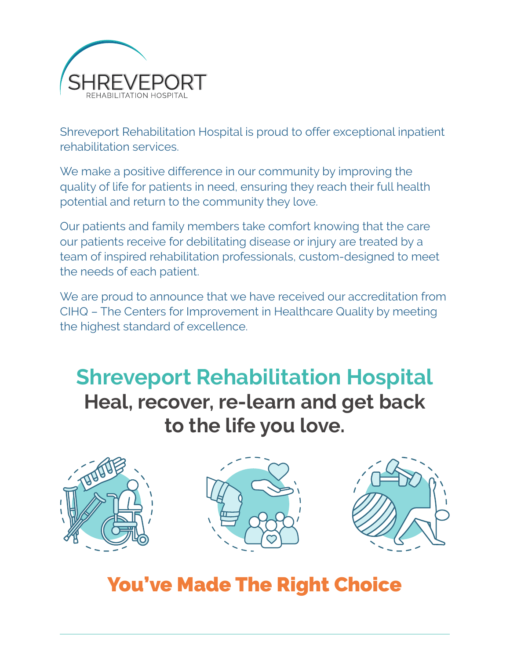

Shreveport Rehabilitation Hospital is proud to offer exceptional inpatient rehabilitation services.

We make a positive difference in our community by improving the quality of life for patients in need, ensuring they reach their full health potential and return to the community they love.

Our patients and family members take comfort knowing that the care our patients receive for debilitating disease or injury are treated by a team of inspired rehabilitation professionals, custom-designed to meet the needs of each patient.

We are proud to announce that we have received our accreditation from CIHQ – The Centers for Improvement in Healthcare Quality by meeting the highest standard of excellence.

**Shreveport Rehabilitation Hospital Heal, recover, re-learn and get back to the life you love.**







# You've Made The Right Choice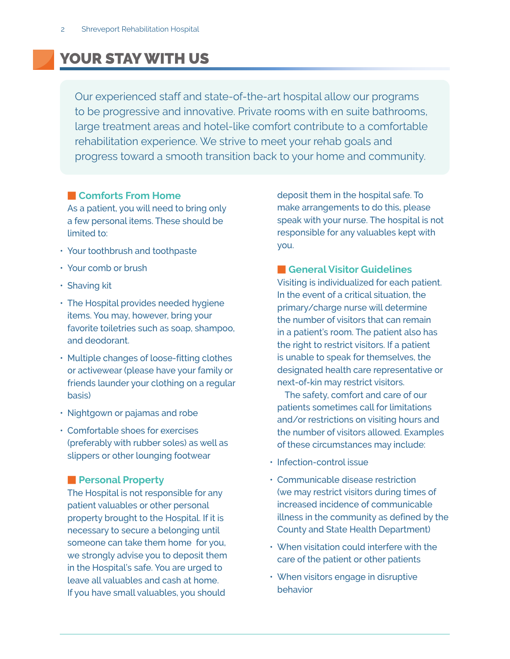# YOUR STAY WITH US

Our experienced staff and state-of-the-art hospital allow our programs to be progressive and innovative. Private rooms with en suite bathrooms, large treatment areas and hotel-like comfort contribute to a comfortable rehabilitation experience. We strive to meet your rehab goals and progress toward a smooth transition back to your home and community.

## **E** Comforts From Home

As a patient, you will need to bring only a few personal items. These should be limited to:

- Your toothbrush and toothpaste
- Your comb or brush
- Shaving kit
- The Hospital provides needed hygiene items. You may, however, bring your favorite toiletries such as soap, shampoo, and deodorant.
- Multiple changes of loose-fitting clothes or activewear (please have your family or friends launder your clothing on a regular basis)
- Nightgown or pajamas and robe
- Comfortable shoes for exercises (preferably with rubber soles) as well as slippers or other lounging footwear

### **Personal Property**

The Hospital is not responsible for any patient valuables or other personal property brought to the Hospital. If it is necessary to secure a belonging until someone can take them home for you, we strongly advise you to deposit them in the Hospital's safe. You are urged to leave all valuables and cash at home. If you have small valuables, you should

deposit them in the hospital safe. To make arrangements to do this, please speak with your nurse. The hospital is not responsible for any valuables kept with you.

### **Reneral Visitor Guidelines**

Visiting is individualized for each patient. In the event of a critical situation, the primary/charge nurse will determine the number of visitors that can remain in a patient's room. The patient also has the right to restrict visitors. If a patient is unable to speak for themselves, the designated health care representative or next-of-kin may restrict visitors.

 The safety, comfort and care of our patients sometimes call for limitations and/or restrictions on visiting hours and the number of visitors allowed. Examples of these circumstances may include:

- $\cdot$  Infection-control issue
- Communicable disease restriction (we may restrict visitors during times of increased incidence of communicable illness in the community as defined by the County and State Health Department)
- $\cdot$  When visitation could interfere with the care of the patient or other patients
- When visitors engage in disruptive behavior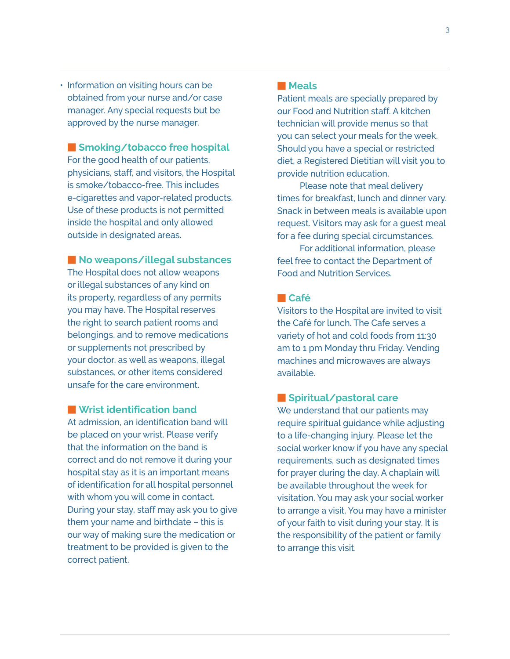• Information on visiting hours can be obtained from your nurse and/or case manager. Any special requests but be approved by the nurse manager.

**E** Smoking/tobacco free hospital

For the good health of our patients, physicians, staff, and visitors, the Hospital is smoke/tobacco-free. This includes e-cigarettes and vapor-related products. Use of these products is not permitted inside the hospital and only allowed outside in designated areas.

**No weapons/illegal substances** 

The Hospital does not allow weapons or illegal substances of any kind on its property, regardless of any permits you may have. The Hospital reserves the right to search patient rooms and belongings, and to remove medications or supplements not prescribed by your doctor, as well as weapons, illegal substances, or other items considered unsafe for the care environment.

**N** Wrist identification band

At admission, an identification band will be placed on your wrist. Please verify that the information on the band is correct and do not remove it during your hospital stay as it is an important means of identification for all hospital personnel with whom you will come in contact. During your stay, staff may ask you to give them your name and birthdate – this is our way of making sure the medication or treatment to be provided is given to the correct patient.

### **Meals**

Patient meals are specially prepared by our Food and Nutrition staff. A kitchen technician will provide menus so that you can select your meals for the week. Should you have a special or restricted diet, a Registered Dietitian will visit you to provide nutrition education.

 Please note that meal delivery times for breakfast, lunch and dinner vary. Snack in between meals is available upon request. Visitors may ask for a guest meal for a fee during special circumstances.

 For additional information, please feel free to contact the Department of Food and Nutrition Services.

### - **Café**

Visitors to the Hospital are invited to visit the Café for lunch. The Cafe serves a variety of hot and cold foods from 11:30 am to 1 pm Monday thru Friday. Vending machines and microwaves are always available.

### - **Spiritual/pastoral care**

We understand that our patients may require spiritual guidance while adjusting to a life-changing injury. Please let the social worker know if you have any special requirements, such as designated times for prayer during the day. A chaplain will be available throughout the week for visitation. You may ask your social worker to arrange a visit. You may have a minister of your faith to visit during your stay. It is the responsibility of the patient or family to arrange this visit.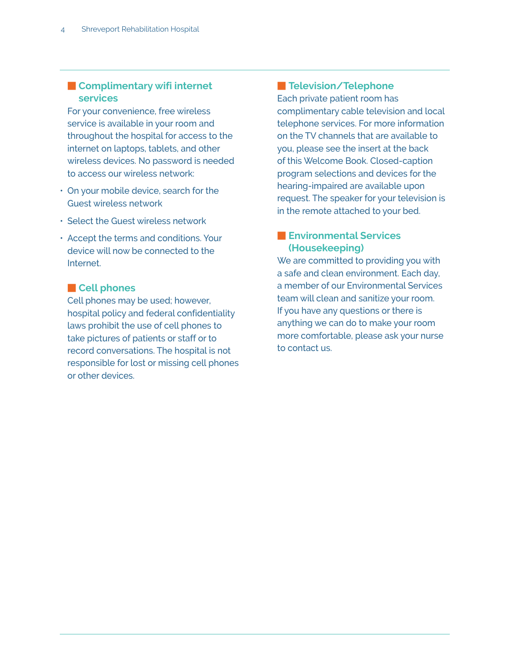# **Expansive Complimentary wifi internet services**

For your convenience, free wireless service is available in your room and throughout the hospital for access to the internet on laptops, tablets, and other wireless devices. No password is needed to access our wireless network:

- On your mobile device, search for the Guest wireless network
- Select the Guest wireless network
- $\cdot$  Accept the terms and conditions. Your device will now be connected to the Internet.

# **Execute Cell phones**

Cell phones may be used; however, hospital policy and federal confidentiality laws prohibit the use of cell phones to take pictures of patients or staff or to record conversations. The hospital is not responsible for lost or missing cell phones or other devices.

# **Relevision/Telephone**

Each private patient room has complimentary cable television and local telephone services. For more information on the TV channels that are available to you, please see the insert at the back of this Welcome Book. Closed-caption program selections and devices for the hearing-impaired are available upon request. The speaker for your television is in the remote attached to your bed.

# **Environmental Services (Housekeeping)**

We are committed to providing you with a safe and clean environment. Each day, a member of our Environmental Services team will clean and sanitize your room. If you have any questions or there is anything we can do to make your room more comfortable, please ask your nurse to contact us.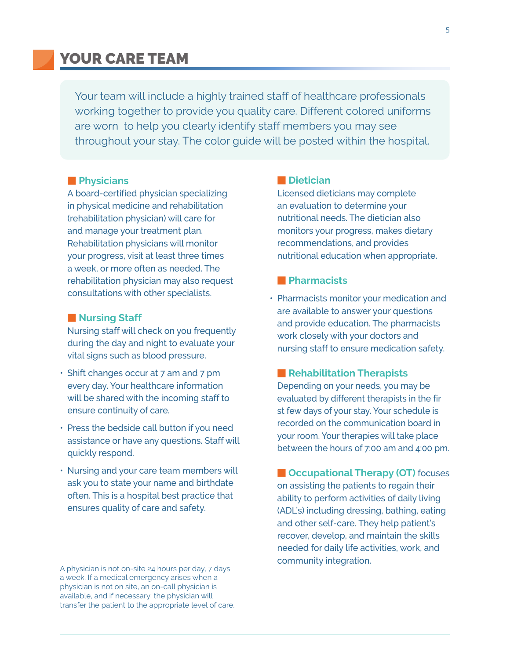# YOUR CARE TEAM

Your team will include a highly trained staff of healthcare professionals working together to provide you quality care. Different colored uniforms are worn to help you clearly identify staff members you may see throughout your stay. The color guide will be posted within the hospital.

#### **Physicians**

A board-certified physician specializing in physical medicine and rehabilitation (rehabilitation physician) will care for and manage your treatment plan. Rehabilitation physicians will monitor your progress, visit at least three times a week, or more often as needed. The rehabilitation physician may also request consultations with other specialists.

#### **Nursing Staff**

Nursing staff will check on you frequently during the day and night to evaluate your vital signs such as blood pressure.

- Shift changes occur at 7 am and 7 pm every day. Your healthcare information will be shared with the incoming staff to ensure continuity of care.
- $\cdot$  Press the bedside call button if you need assistance or have any questions. Staff will quickly respond.
- Nursing and your care team members will ask you to state your name and birthdate often. This is a hospital best practice that ensures quality of care and safety.

A physician is not on-site 24 hours per day, 7 days a week. If a medical emergency arises when a physician is not on site, an on-call physician is available, and if necessary, the physician will transfer the patient to the appropriate level of care.

#### $\blacksquare$  Dietician

Licensed dieticians may complete an evaluation to determine your nutritional needs. The dietician also monitors your progress, makes dietary recommendations, and provides nutritional education when appropriate.

#### - **Pharmacists**

• Pharmacists monitor your medication and are available to answer your questions and provide education. The pharmacists work closely with your doctors and nursing staff to ensure medication safety.

#### **Rehabilitation Therapists**

Depending on your needs, you may be evaluated by different therapists in the fir st few days of your stay. Your schedule is recorded on the communication board in your room. Your therapies will take place between the hours of 7:00 am and 4:00 pm.

**E Occupational Therapy (OT)** focuses on assisting the patients to regain their ability to perform activities of daily living (ADL's) including dressing, bathing, eating and other self-care. They help patient's recover, develop, and maintain the skills needed for daily life activities, work, and community integration.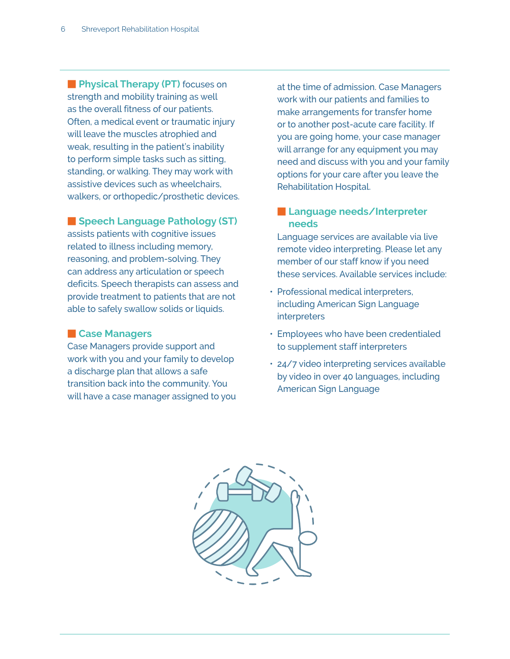**Fig. 2 Fig. 2 Fig. 2 Fig. 2 Fig. 2 Fig. 2 Fig. 2 Space Space Space Space Space Space Space Space Space Space Space Space Space Space Space Space Space Space Space Space Space Space Space Space Space Space Space Space Spac** strength and mobility training as well as the overall fitness of our patients. Often, a medical event or traumatic injury will leave the muscles atrophied and weak, resulting in the patient's inability to perform simple tasks such as sitting, standing, or walking. They may work with assistive devices such as wheelchairs, walkers, or orthopedic/prosthetic devices.

# **E** Speech Language Pathology (ST)

assists patients with cognitive issues related to illness including memory, reasoning, and problem-solving. They can address any articulation or speech deficits. Speech therapists can assess and provide treatment to patients that are not able to safely swallow solids or liquids.

### **Exchangers**

Case Managers provide support and work with you and your family to develop a discharge plan that allows a safe transition back into the community. You will have a case manager assigned to you at the time of admission. Case Managers work with our patients and families to make arrangements for transfer home or to another post-acute care facility. If you are going home, your case manager will arrange for any equipment you may need and discuss with you and your family options for your care after you leave the Rehabilitation Hospital.

# **Example 2 Language needs/Interpreter needs**

Language services are available via live remote video interpreting. Please let any member of our staff know if you need these services. Available services include:

- Professional medical interpreters, including American Sign Language interpreters
- Employees who have been credentialed to supplement staff interpreters
- 24/7 video interpreting services available by video in over 40 languages, including American Sign Language

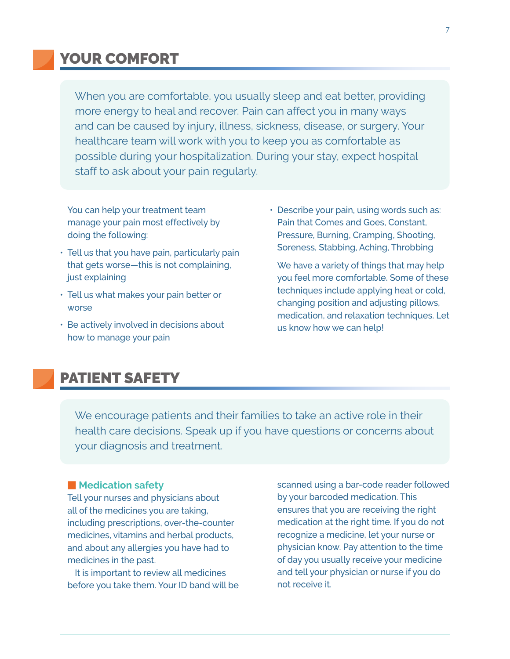# YOUR COMFORT

When you are comfortable, you usually sleep and eat better, providing more energy to heal and recover. Pain can affect you in many ways and can be caused by injury, illness, sickness, disease, or surgery. Your healthcare team will work with you to keep you as comfortable as possible during your hospitalization. During your stay, expect hospital staff to ask about your pain regularly.

You can help your treatment team manage your pain most effectively by doing the following:

- Tell us that you have pain, particularly pain that gets worse—this is not complaining, just explaining
- Tell us what makes your pain better or worse
- Be actively involved in decisions about how to manage your pain

• Describe your pain, using words such as: Pain that Comes and Goes, Constant, Pressure, Burning, Cramping, Shooting, Soreness, Stabbing, Aching, Throbbing

We have a variety of things that may help you feel more comfortable. Some of these techniques include applying heat or cold, changing position and adjusting pillows, medication, and relaxation techniques. Let us know how we can help!

# PATIENT SAFETY

We encourage patients and their families to take an active role in their health care decisions. Speak up if you have questions or concerns about your diagnosis and treatment.

#### **Medication safety**

Tell your nurses and physicians about all of the medicines you are taking, including prescriptions, over-the-counter medicines, vitamins and herbal products, and about any allergies you have had to medicines in the past.

 It is important to review all medicines before you take them. Your ID band will be scanned using a bar-code reader followed by your barcoded medication. This ensures that you are receiving the right medication at the right time. If you do not recognize a medicine, let your nurse or physician know. Pay attention to the time of day you usually receive your medicine and tell your physician or nurse if you do not receive it.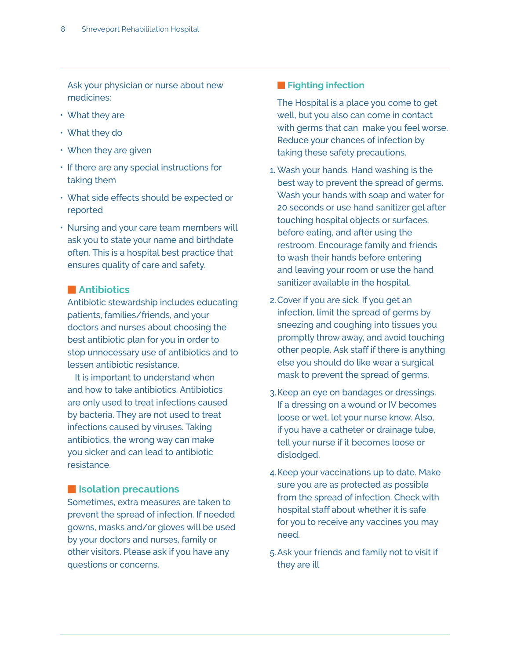Ask your physician or nurse about new medicines:

- What they are
- What they do
- When they are given
- If there are any special instructions for taking them
- What side effects should be expected or reported
- Nursing and your care team members will ask you to state your name and birthdate often. This is a hospital best practice that ensures quality of care and safety.

### $\blacksquare$  Antibiotics

Antibiotic stewardship includes educating patients, families/friends, and your doctors and nurses about choosing the best antibiotic plan for you in order to stop unnecessary use of antibiotics and to lessen antibiotic resistance.

It is important to understand when and how to take antibiotics. Antibiotics are only used to treat infections caused by bacteria. They are not used to treat infections caused by viruses. Taking antibiotics, the wrong way can make you sicker and can lead to antibiotic resistance.

# $\blacksquare$  **Isolation precautions**

Sometimes, extra measures are taken to prevent the spread of infection. If needed gowns, masks and/or gloves will be used by your doctors and nurses, family or other visitors. Please ask if you have any questions or concerns.

# **Fighting infection**

The Hospital is a place you come to get well, but you also can come in contact with germs that can make you feel worse. Reduce your chances of infection by taking these safety precautions.

- 1. Wash your hands. Hand washing is the best way to prevent the spread of germs. Wash your hands with soap and water for 20 seconds or use hand sanitizer gel after touching hospital objects or surfaces, before eating, and after using the restroom. Encourage family and friends to wash their hands before entering and leaving your room or use the hand sanitizer available in the hospital.
- 2. Cover if you are sick. If you get an infection, limit the spread of germs by sneezing and coughing into tissues you promptly throw away, and avoid touching other people. Ask staff if there is anything else you should do like wear a surgical mask to prevent the spread of germs.
- 3. Keep an eye on bandages or dressings. If a dressing on a wound or IV becomes loose or wet, let your nurse know. Also, if you have a catheter or drainage tube, tell your nurse if it becomes loose or dislodged.
- 4. Keep your vaccinations up to date. Make sure you are as protected as possible from the spread of infection. Check with hospital staff about whether it is safe for you to receive any vaccines you may need.
- 5. Ask your friends and family not to visit if they are ill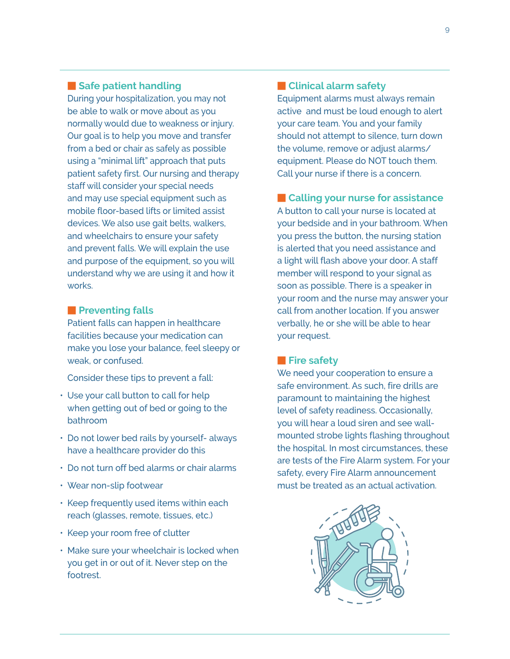# **Example Safe patient handling**

During your hospitalization, you may not be able to walk or move about as you normally would due to weakness or injury. Our goal is to help you move and transfer from a bed or chair as safely as possible using a "minimal lift" approach that puts patient safety first. Our nursing and therapy staff will consider your special needs and may use special equipment such as mobile floor-based lifts or limited assist devices. We also use gait belts, walkers, and wheelchairs to ensure your safety and prevent falls. We will explain the use and purpose of the equipment, so you will understand why we are using it and how it works.

### **Preventing falls**

Patient falls can happen in healthcare facilities because your medication can make you lose your balance, feel sleepy or weak, or confused.

Consider these tips to prevent a fall:

- Use your call button to call for help when getting out of bed or going to the bathroom
- Do not lower bed rails by yourself- always have a healthcare provider do this
- Do not turn off bed alarms or chair alarms
- Wear non-slip footwear
- Keep frequently used items within each reach (glasses, remote, tissues, etc.)
- Keep your room free of clutter
- Make sure your wheelchair is locked when you get in or out of it. Never step on the footrest.

# **Exercice Clinical alarm safety**

Equipment alarms must always remain active and must be loud enough to alert your care team. You and your family should not attempt to silence, turn down the volume, remove or adjust alarms/ equipment. Please do NOT touch them. Call your nurse if there is a concern.

**Example 2 Calling your nurse for assistance** 

A button to call your nurse is located at your bedside and in your bathroom. When you press the button, the nursing station is alerted that you need assistance and a light will flash above your door. A staff member will respond to your signal as soon as possible. There is a speaker in your room and the nurse may answer your call from another location. If you answer verbally, he or she will be able to hear your request.

### **Fire safety**

We need your cooperation to ensure a safe environment. As such, fire drills are paramount to maintaining the highest level of safety readiness. Occasionally, you will hear a loud siren and see wallmounted strobe lights flashing throughout the hospital. In most circumstances, these are tests of the Fire Alarm system. For your safety, every Fire Alarm announcement must be treated as an actual activation.

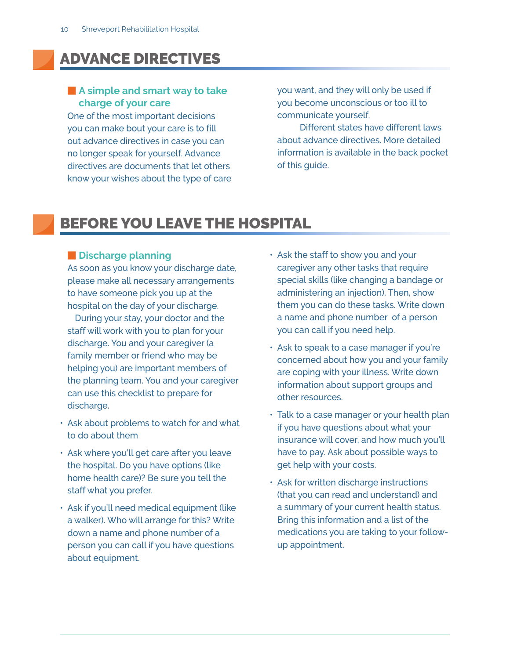# ADVANCE DIRECTIVES

# **A simple and smart way to take charge of your care**

One of the most important decisions you can make bout your care is to fill out advance directives in case you can no longer speak for yourself. Advance directives are documents that let others know your wishes about the type of care you want, and they will only be used if you become unconscious or too ill to communicate yourself.

 Different states have different laws about advance directives. More detailed information is available in the back pocket of this guide.

# BEFORE YOU LEAVE THE HOSPITAL

# $\blacksquare$  **Discharge planning**

As soon as you know your discharge date, please make all necessary arrangements to have someone pick you up at the hospital on the day of your discharge.

 During your stay, your doctor and the staff will work with you to plan for your discharge. You and your caregiver (a family member or friend who may be helping you) are important members of the planning team. You and your caregiver can use this checklist to prepare for discharge.

- Ask about problems to watch for and what to do about them
- Ask where you'll get care after you leave the hospital. Do you have options (like home health care)? Be sure you tell the staff what you prefer.
- Ask if you'll need medical equipment (like a walker). Who will arrange for this? Write down a name and phone number of a person you can call if you have questions about equipment.
- Ask the staff to show you and your caregiver any other tasks that require special skills (like changing a bandage or administering an injection). Then, show them you can do these tasks. Write down a name and phone number of a person you can call if you need help.
- Ask to speak to a case manager if you're concerned about how you and your family are coping with your illness. Write down information about support groups and other resources.
- Talk to a case manager or your health plan if you have questions about what your insurance will cover, and how much you'll have to pay. Ask about possible ways to get help with your costs.
- Ask for written discharge instructions (that you can read and understand) and a summary of your current health status. Bring this information and a list of the medications you are taking to your followup appointment.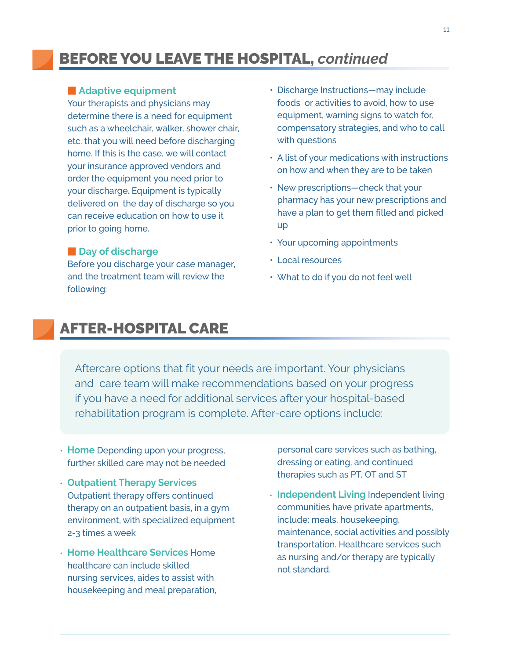# BEFORE YOU LEAVE THE HOSPITAL, *continued*

### **Adaptive equipment**

Your therapists and physicians may determine there is a need for equipment such as a wheelchair, walker, shower chair, etc. that you will need before discharging home. If this is the case, we will contact your insurance approved vendors and order the equipment you need prior to your discharge. Equipment is typically delivered on the day of discharge so you can receive education on how to use it prior to going home.

#### $\blacksquare$  Day of discharge

Before you discharge your case manager, and the treatment team will review the following:

- Discharge Instructions—may include foods or activities to avoid, how to use equipment, warning signs to watch for, compensatory strategies, and who to call with questions
- A list of your medications with instructions on how and when they are to be taken
- New prescriptions—check that your pharmacy has your new prescriptions and have a plan to get them filled and picked up
- Your upcoming appointments
- Local resources
- What to do if you do not feel well

# AFTER-HOSPITAL CARE

Aftercare options that fit your needs are important. Your physicians and care team will make recommendations based on your progress if you have a need for additional services after your hospital-based rehabilitation program is complete. After-care options include:

- **Home** Depending upon your progress, further skilled care may not be needed
- **4 Outpatient Therapy Services** Outpatient therapy offers continued therapy on an outpatient basis, in a gym environment, with specialized equipment 2-3 times a week
- **Home Healthcare Services** Home healthcare can include skilled nursing services, aides to assist with housekeeping and meal preparation,

personal care services such as bathing, dressing or eating, and continued therapies such as PT, OT and ST

• **Independent Living** Independent living communities have private apartments, include: meals, housekeeping, maintenance, social activities and possibly transportation. Healthcare services such as nursing and/or therapy are typically not standard.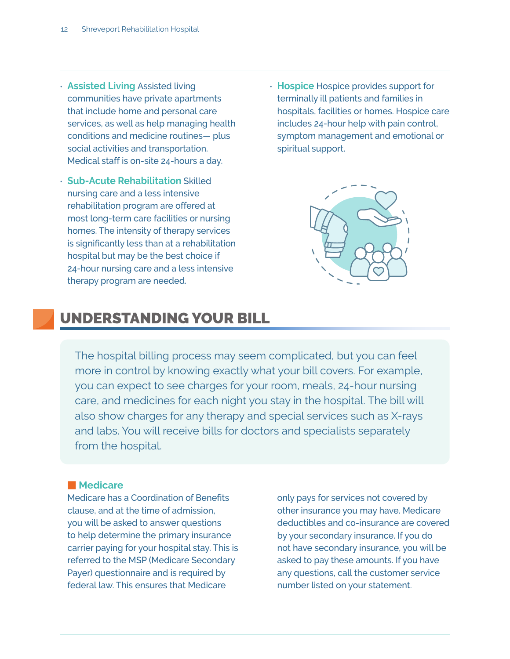- **Assisted Living** Assisted living communities have private apartments that include home and personal care services, as well as help managing health conditions and medicine routines— plus social activities and transportation. Medical staff is on-site 24-hours a day.
- **Sub-Acute Rehabilitation** Skilled nursing care and a less intensive rehabilitation program are offered at most long-term care facilities or nursing homes. The intensity of therapy services is significantly less than at a rehabilitation hospital but may be the best choice if 24-hour nursing care and a less intensive therapy program are needed.
- **Hospice** Hospice provides support for terminally ill patients and families in hospitals, facilities or homes. Hospice care includes 24-hour help with pain control, symptom management and emotional or spiritual support.



# UNDERSTANDING YOUR BILL

The hospital billing process may seem complicated, but you can feel more in control by knowing exactly what your bill covers. For example, you can expect to see charges for your room, meals, 24-hour nursing care, and medicines for each night you stay in the hospital. The bill will also show charges for any therapy and special services such as X-rays and labs. You will receive bills for doctors and specialists separately from the hospital.

#### **Medicare**

Medicare has a Coordination of Benefits clause, and at the time of admission, you will be asked to answer questions to help determine the primary insurance carrier paying for your hospital stay. This is referred to the MSP (Medicare Secondary Payer) questionnaire and is required by federal law. This ensures that Medicare

only pays for services not covered by other insurance you may have. Medicare deductibles and co-insurance are covered by your secondary insurance. If you do not have secondary insurance, you will be asked to pay these amounts. If you have any questions, call the customer service number listed on your statement.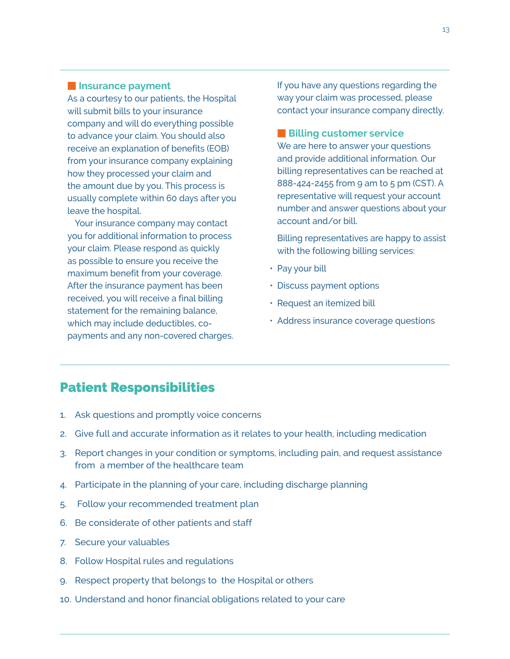### **Expansion Insurance payment**

As a courtesy to our patients, the Hospital will submit bills to your insurance company and will do everything possible to advance your claim. You should also receive an explanation of benefits (EOB) from your insurance company explaining how they processed your claim and the amount due by you. This process is usually complete within 60 days after you leave the hospital.

 Your insurance company may contact you for additional information to process your claim. Please respond as quickly as possible to ensure you receive the maximum benefit from your coverage. After the insurance payment has been received, you will receive a final billing statement for the remaining balance, which may include deductibles, copayments and any non-covered charges. If you have any questions regarding the way your claim was processed, please contact your insurance company directly.

**E** Billing customer service

We are here to answer your questions and provide additional information. Our billing representatives can be reached at 888-424-2455 from 9 am to 5 pm (CST). A representative will request your account number and answer questions about your account and/or bill.

Billing representatives are happy to assist with the following billing services:

- Pay your bill
- Discuss payment options
- Request an itemized bill
- Address insurance coverage questions

# Patient Responsibilities

- 1. Ask questions and promptly voice concerns
- 2. Give full and accurate information as it relates to your health, including medication
- 3. Report changes in your condition or symptoms, including pain, and request assistance from a member of the healthcare team
- 4. Participate in the planning of your care, including discharge planning
- 5. Follow your recommended treatment plan
- 6. Be considerate of other patients and staff
- 7. Secure your valuables
- 8. Follow Hospital rules and regulations
- 9. Respect property that belongs to the Hospital or others
- 10. Understand and honor financial obligations related to your care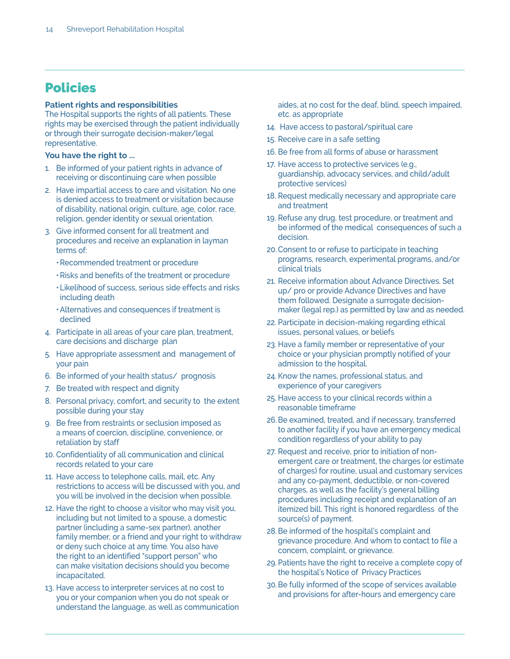# Policies

#### **Patient rights and responsibilities**

The Hospital supports the rights of all patients. These rights may be exercised through the patient individually or through their surrogate decision-maker/legal representative.

#### You have the right to ...

- 1. Be informed of your patient rights in advance of receiving or discontinuing care when possible
- 2. Have impartial access to care and visitation. No one is denied access to treatment or visitation because of disability, national origin, culture, age, color, race, religion, gender identity or sexual orientation.
- 3. Give informed consent for all treatment and procedures and receive an explanation in layman terms of:
	- Recommended treatment or procedure
	- Risks and benefits of the treatment or procedure
	- Likelihood of success, serious side effects and risks including death
	- Alternatives and consequences if treatment is declined
- 4. Participate in all areas of your care plan, treatment, care decisions and discharge plan
- 5. Have appropriate assessment and management of your pain
- 6. Be informed of your health status/ prognosis
- 7. Be treated with respect and dignity
- 8. Personal privacy, comfort, and security to the extent possible during your stay
- g. Be free from restraints or seclusion imposed as a means of coercion, discipline, convenience, or retaliation by staff
- 10. Confidentiality of all communication and clinical records related to your care
- 11. Have access to telephone calls, mail, etc. Any restrictions to access will be discussed with you, and you will be involved in the decision when possible.
- 12. Have the right to choose a visitor who may visit you, including but not limited to a spouse, a domestic partner (including a same-sex partner), another family member, or a friend and your right to withdraw or deny such choice at any time. You also have the right to an identified "support person" who can make visitation decisions should you become incapacitated.
- 13. Have access to interpreter services at no cost to you or your companion when you do not speak or understand the language, as well as communication

aides, at no cost for the deaf, blind, speech impaired, etc. as appropriate

- 14. Have access to pastoral/spiritual care
- 15. Receive care in a safe setting
- 16. Be free from all forms of abuse or harassment
- 17. Have access to protective services (e.g., guardianship, advocacy services, and child/adult protective services)
- 18. Request medically necessary and appropriate care and treatment
- 19. Refuse any drug, test procedure, or treatment and be informed of the medical consequences of such a decision.
- 20. Consent to or refuse to participate in teaching programs, research, experimental programs, and/or clinical trials
- 21. Receive information about Advance Directives. Set up/ pro or provide Advance Directives and have them followed. Designate a surrogate decisionmaker (legal rep.) as permitted by law and as needed.
- 22. Participate in decision-making regarding ethical issues, personal values, or beliefs
- 23. Have a family member or representative of your choice or your physician promptly notified of your admission to the hospital.
- 24. Know the names, professional status, and experience of your caregivers
- 25. Have access to your clinical records within a reasonable timeframe
- 26. Be examined, treated, and if necessary, transferred to another facility if you have an emergency medical condition regardless of your ability to pay
- 27. Request and receive, prior to initiation of nonemergent care or treatment, the charges (or estimate of charges) for routine, usual and customary services and any co-payment, deductible, or non-covered charges, as well as the facility's general billing procedures including receipt and explanation of an itemized bill. This right is honored regardless of the source(s) of payment.
- 28. Be informed of the hospital's complaint and grievance procedure. And whom to contact to file a concern, complaint, or grievance.
- 29. Patients have the right to receive a complete copy of the hospital's Notice of Privacy Practices
- 30. Be fully informed of the scope of services available and provisions for after-hours and emergency care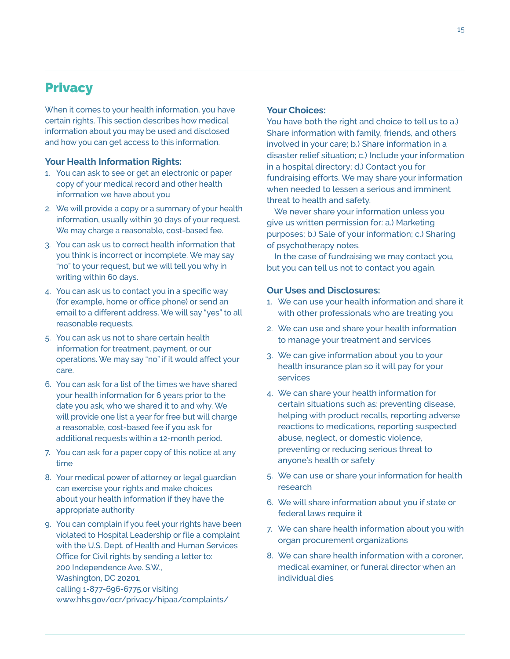# **Privacy**

When it comes to your health information, you have certain rights. This section describes how medical information about you may be used and disclosed and how you can get access to this information.

#### **Your Health Information Rights:**

- 1. You can ask to see or get an electronic or paper copy of your medical record and other health information we have about you
- 2. We will provide a copy or a summary of your health information, usually within 30 days of your request. We may charge a reasonable, cost-based fee.
- 3. You can ask us to correct health information that you think is incorrect or incomplete. We may say "no" to your request, but we will tell you why in writing within 60 days.
- 4. You can ask us to contact you in a specific way (for example, home or office phone) or send an email to a different address. We will say "yes" to all reasonable requests.
- 5. You can ask us not to share certain health information for treatment, payment, or our operations. We may say "no" if it would affect your care.
- 6. You can ask for a list of the times we have shared your health information for 6 years prior to the date you ask, who we shared it to and why. We will provide one list a year for free but will charge a reasonable, cost-based fee if you ask for additional requests within a 12-month period.
- 7. You can ask for a paper copy of this notice at any time
- 8. Your medical power of attorney or legal guardian can exercise your rights and make choices about your health information if they have the appropriate authority
- g. You can complain if you feel your rights have been violated to Hospital Leadership or file a complaint with the U.S. Dept. of Health and Human Services Office for Civil rights by sending a letter to: 200 Independence Ave. S.W., Washington, DC 20201, calling 1-877-696-6775, or visiting www.hhs.gov/ocr/privacy/hipaa/complaints/

#### **Your Choices:**

You have both the right and choice to tell us to a.) Share information with family, friends, and others involved in your care; b.) Share information in a disaster relief situation; c.) Include your information in a hospital directory; d.) Contact you for fundraising efforts. We may share your information when needed to lessen a serious and imminent threat to health and safety.

We never share your information unless you give us written permission for: a.) Marketing purposes; b.) Sale of your information; c.) Sharing of psychotherapy notes.

 In the case of fundraising we may contact you, but you can tell us not to contact you again.

#### **Our Uses and Disclosures:**

- 1. We can use your health information and share it with other professionals who are treating you
- 2. We can use and share your health information to manage your treatment and services
- 3. We can give information about you to your health insurance plan so it will pay for your services
- 4. We can share your health information for certain situations such as: preventing disease, helping with product recalls, reporting adverse reactions to medications, reporting suspected abuse, neglect, or domestic violence, preventing or reducing serious threat to anyone's health or safety
- 5. We can use or share your information for health research
- 6. We will share information about you if state or federal laws require it
- 7. We can share health information about you with organ procurement organizations
- 8. We can share health information with a coroner. medical examiner, or funeral director when an individual dies